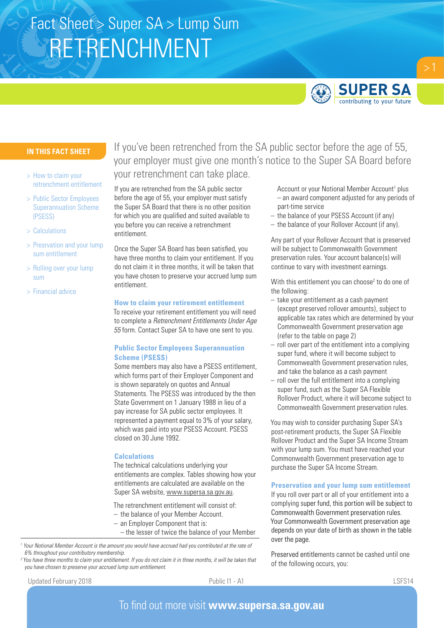# RETRENCHMENT Fact Sheet > Super SA > Lump Sum



# **SUPER SA** contributing to your future

# **IN THIS FACT SHEET**

- > How to claim your retrenchment entitlement
- > Public Sector Employees Superannuation Scheme (PSESS)
- > Calculations
- > Presrvation and your lump sum entitlement
- > Rolling over your lump sum
- > Financial advice

If you've been retrenched from the SA public sector before the age of 55, your employer must give one month's notice to the Super SA Board before your retrenchment can take place.

If you are retrenched from the SA public sector before the age of 55, your employer must satisfy the Super SA Board that there is no other position for which you are qualified and suited available to you before you can receive a retrenchment entitlement.

Once the Super SA Board has been satisfied, you have three months to claim your entitlement. If you do not claim it in three months, it will be taken that you have chosen to preserve your accrued lump sum entitlement.

#### **How to claim your retirement entitlement**

To receive your retirement entitlement you will need to complete a *Retrenchment Entitlements Under Age 55* form. Contact Super SA to have one sent to you.

# **Public Sector Employees Superannuation Scheme (PSESS)**

Some members may also have a PSESS entitlement, which forms part of their Employer Component and is shown separately on quotes and Annual Statements. The PSESS was introduced by the then State Government on 1 January 1988 in lieu of a pay increase for SA public sector employees. It represented a payment equal to 3% of your salary, which was paid into your PSESS Account. PSESS closed on 30 June 1992.

### **Calculations**

The technical calculations underlying your entitlements are complex. Tables showing how your entitlements are calculated are available on the Super SA website, www.supersa.sa.gov.au.

The retrenchment entitlement will consist of:

- the balance of your Member Account.
- an Employer Component that is:
- the lesser of twice the balance of your Member

*1 Your Notional Member Account is the amount you would have accrued had you contributed at the rate of 6% throughout your contributory membership.*

*2 You have three months to claim your entitlement. If you do not claim it in three months, it will be taken that you have chosen to preserve your accrued lump sum entitlement.* 

Updated February 2018 **Public I1 - A1** Public I1 - A1 LSFS14

Account or your Notional Member Account<sup>1</sup> plus – an award component adjusted for any periods of part-time service

- the balance of your PSESS Account (if any)
- the balance of your Rollover Account (if any).

Any part of your Rollover Account that is preserved will be subject to Commonwealth Government preservation rules. Your account balance(s) will continue to vary with investment earnings.

With this entitlement you can choose<sup>2</sup> to do one of the following:

- take your entitlement as a cash payment (except preserved rollover amounts), subject to applicable tax rates which are determined by your Commonwealth Government preservation age (refer to the table on page 2)
- roll over part of the entitlement into a complying super fund, where it will become subject to Commonwealth Government preservation rules, and take the balance as a cash payment
- roll over the full entitlement into a complying super fund, such as the Super SA Flexible Rollover Product, where it will become subject to Commonwealth Government preservation rules.

You may wish to consider purchasing Super SA's post-retirement products, the Super SA Flexible Rollover Product and the Super SA Income Stream with your lump sum. You must have reached your Commonwealth Government preservation age to purchase the Super SA Income Stream.

### **Preservation and your lump sum entitlement**

If you roll over part or all of your entitlement into a complying super fund, this portion will be subject to Commonwealth Government preservation rules. Your Commonwealth Government preservation age depends on your date of birth as shown in the table over the page.

Preserved entitlements cannot be cashed until one of the following occurs, you: